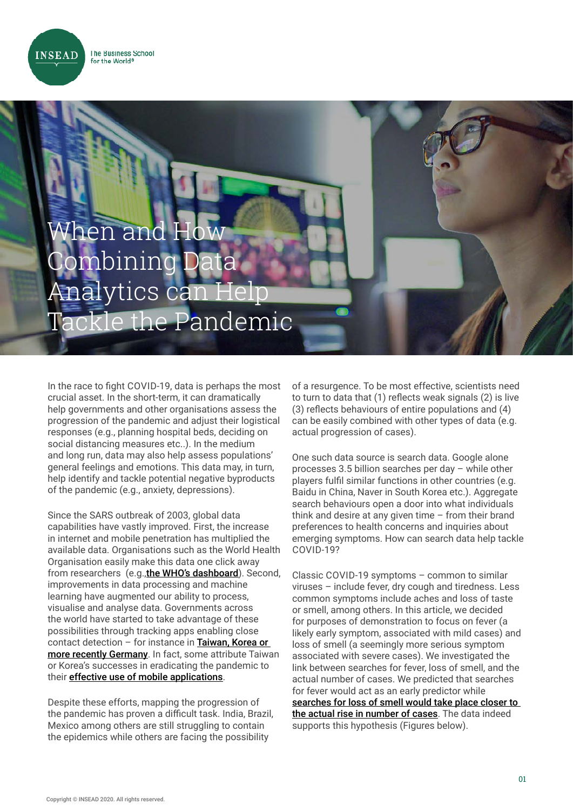**INSEAD** 

## When and Combining Analytics can Help Tackle the Pandemic

In the race to fight COVID-19, data is perhaps the most crucial asset. In the short-term, it can dramatically help governments and other organisations assess the progression of the pandemic and adjust their logistical responses (e.g., planning hospital beds, deciding on social distancing measures etc..). In the medium and long run, data may also help assess populations' general feelings and emotions. This data may, in turn, help identify and tackle potential negative byproducts of the pandemic (e.g., anxiety, depressions).

Since the SARS outbreak of 2003, global data capabilities have vastly improved. First, the increase in internet and mobile penetration has multiplied the available data. Organisations such as the World Health Organisation easily make this data one click away from researchers (e.g.,[the WHO's dashboard](https://covid19.who.int/?gclid=Cj0KCQjwirz3BRD_ARIsAImf7LMOtp-zIAPVSZI2JLPd-44PiZI9r8Uyu8GDYfXHNxVTS7Sx0PNN0KMaAmbBEALw_wcB)). Second, improvements in data processing and machine learning have augmented our ability to process, visualise and analyse data. Governments across the world have started to take advantage of these possibilities through tracking apps enabling close contact detection – for instance in [Taiwan, Korea or](https://www.economist.com/europe/2020/05/28/germanys-contact-tracers-try-to-block-a-second-covid-19-wave)  [more recently Germany](https://www.economist.com/europe/2020/05/28/germanys-contact-tracers-try-to-block-a-second-covid-19-wave). In fact, some attribute Taiwan or Korea's successes in eradicating the pandemic to their **[effective use of mobile applications](https://www.forbes.com/sites/bernardmarr/2020/04/09/the-vital-role-of-big-data-in-the-fight-against-coronavirus/#74b231033806)**.

Despite these efforts, mapping the progression of the pandemic has proven a difficult task. India, Brazil, Mexico among others are still struggling to contain the epidemics while others are facing the possibility

of a resurgence. To be most effective, scientists need to turn to data that (1) reflects weak signals (2) is live (3) reflects behaviours of entire populations and (4) can be easily combined with other types of data (e.g. actual progression of cases).

One such data source is search data. Google alone processes 3.5 billion searches per day – while other players fulfil similar functions in other countries (e.g. Baidu in China, Naver in South Korea etc.). Aggregate search behaviours open a door into what individuals think and desire at any given time – from their brand preferences to health concerns and inquiries about emerging symptoms. How can search data help tackle COVID-19?

Classic COVID-19 symptoms – common to similar viruses – include fever, dry cough and tiredness. Less common symptoms include aches and loss of taste or smell, among others. In this article, we decided for purposes of demonstration to focus on fever (a likely early symptom, associated with mild cases) and loss of smell (a seemingly more serious symptom associated with severe cases). We investigated the link between searches for fever, loss of smell, and the actual number of cases. We predicted that searches for fever would act as an early predictor while [searches for loss of smell would take place closer to](https://www.nytimes.com/2020/04/05/opinion/coronavirus-google-searches.html)  [the actual rise in number of cases](https://www.nytimes.com/2020/04/05/opinion/coronavirus-google-searches.html). The data indeed supports this hypothesis (Figures below).